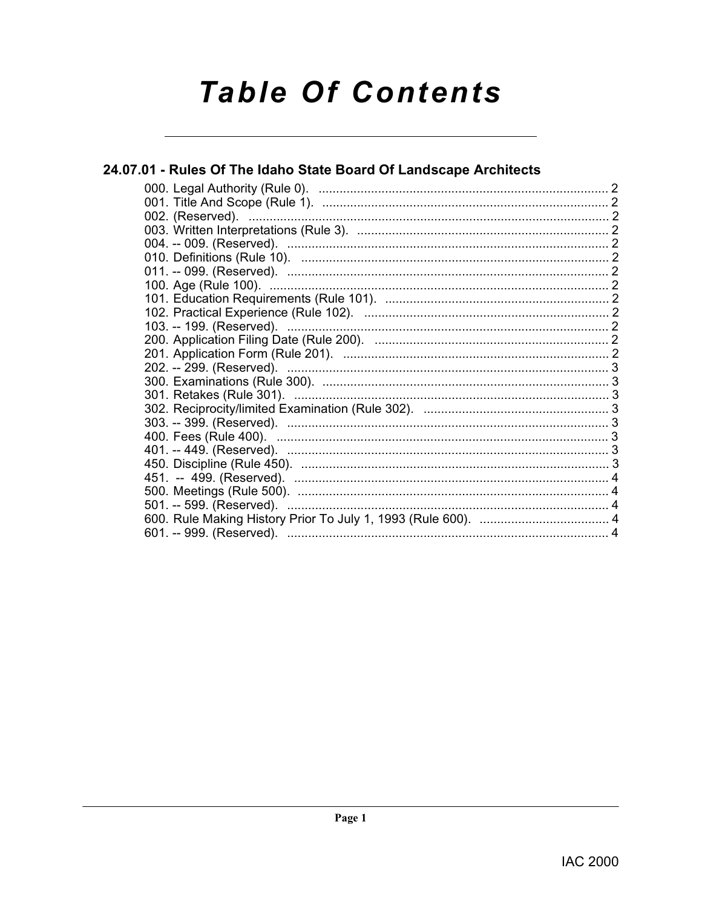# **Table Of Contents**

## 24.07.01 - Rules Of The Idaho State Board Of Landscape Architects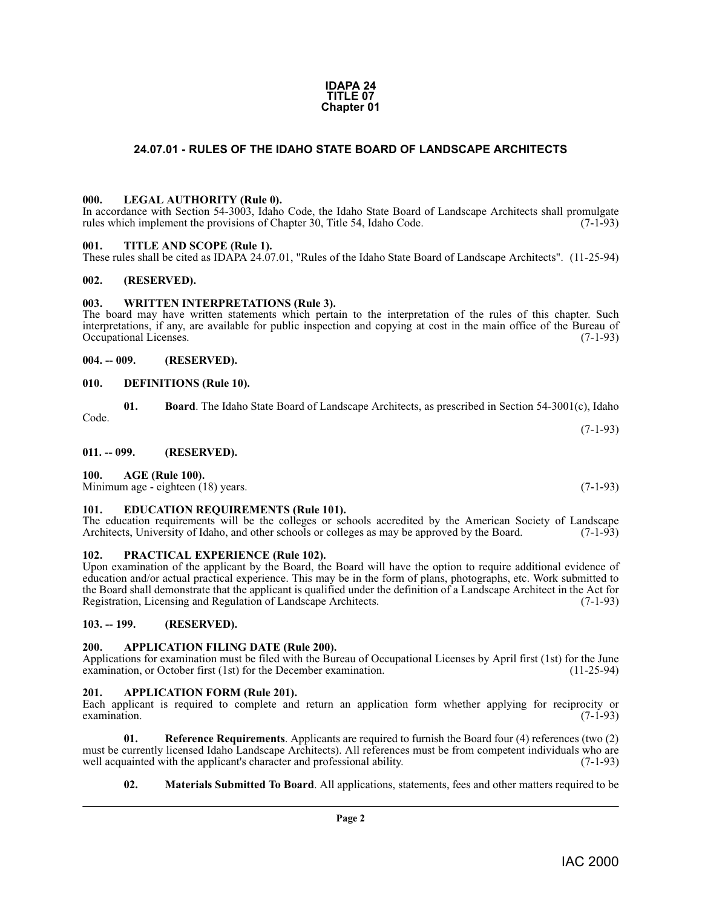#### **Page 2**

Each applicant is required to complete and return an application form whether applying for reciprocity or examination.  $(7-1-93)$ 

**01. Reference Requirements**. Applicants are required to furnish the Board four (4) references (two (2) must be currently licensed Idaho Landscape Architects). All references must be from competent individuals who are well acquainted with the applicant's character and professional ability. (7-1-93) well acquainted with the applicant's character and professional ability.

<span id="page-1-23"></span><span id="page-1-21"></span>**02. Materials Submitted To Board**. All applications, statements, fees and other matters required to be

#### <span id="page-1-20"></span><span id="page-1-1"></span><span id="page-1-0"></span>**000. LEGAL AUTHORITY (Rule 0).**

In accordance with Section 54-3003, Idaho Code, the Idaho State Board of Landscape Architects shall promulgate rules which implement the provisions of Chapter 30, Title 54, Idaho Code. (7-1-93)

#### <span id="page-1-24"></span><span id="page-1-2"></span>**001. TITLE AND SCOPE (Rule 1).**

These rules shall be cited as IDAPA 24.07.01, "Rules of the Idaho State Board of Landscape Architects". (11-25-94)

#### <span id="page-1-3"></span>**002. (RESERVED).**

#### <span id="page-1-25"></span><span id="page-1-4"></span>**003. WRITTEN INTERPRETATIONS (Rule 3).**

The board may have written statements which pertain to the interpretation of the rules of this chapter. Such interpretations, if any, are available for public inspection and copying at cost in the main office of the Bureau of Occupational Licenses. (7-1-93)

#### <span id="page-1-5"></span>**004. -- 009. (RESERVED).**

#### <span id="page-1-18"></span><span id="page-1-6"></span>**010. DEFINITIONS (Rule 10).**

<span id="page-1-17"></span>

|      | Board. The Idaho State Board of Landscape Architects, as prescribed in Section 54-3001(c), Idaho |
|------|--------------------------------------------------------------------------------------------------|
| Code |                                                                                                  |

<span id="page-1-14"></span><span id="page-1-8"></span>**100. AGE (Rule 100).**

<span id="page-1-7"></span>**011. -- 099. (RESERVED).**

Minimum age - eighteen (18) years. (7-1-93)

#### <span id="page-1-19"></span><span id="page-1-9"></span>**101. EDUCATION REQUIREMENTS (Rule 101).**

The education requirements will be the colleges or schools accredited by the American Society of Landscape Architects, University of Idaho, and other schools or colleges as may be approved by the Board. (7-1-93)

#### <span id="page-1-22"></span><span id="page-1-10"></span>**102. PRACTICAL EXPERIENCE (Rule 102).**

Upon examination of the applicant by the Board, the Board will have the option to require additional evidence of education and/or actual practical experience. This may be in the form of plans, photographs, etc. Work submitted to the Board shall demonstrate that the applicant is qualified under the definition of a Landscape Architect in the Act for Registration, Licensing and Regulation of Landscape Architects. (7-1-93)

#### <span id="page-1-11"></span>**103. -- 199. (RESERVED).**

#### <span id="page-1-12"></span>**200. APPLICATION FILING DATE (Rule 200).**

examination, or October first (1st) for the December examination.

<span id="page-1-15"></span>Applications for examination must be filed with the Bureau of Occupational Licenses by April first (1st) for the June examination, or October first (1st) for the December examination.

#### <span id="page-1-16"></span><span id="page-1-13"></span>**201. APPLICATION FORM (Rule 201).**

(7-1-93)

**IDAPA 24 TITLE 07 Chapter 01**

**24.07.01 - RULES OF THE IDAHO STATE BOARD OF LANDSCAPE ARCHITECTS**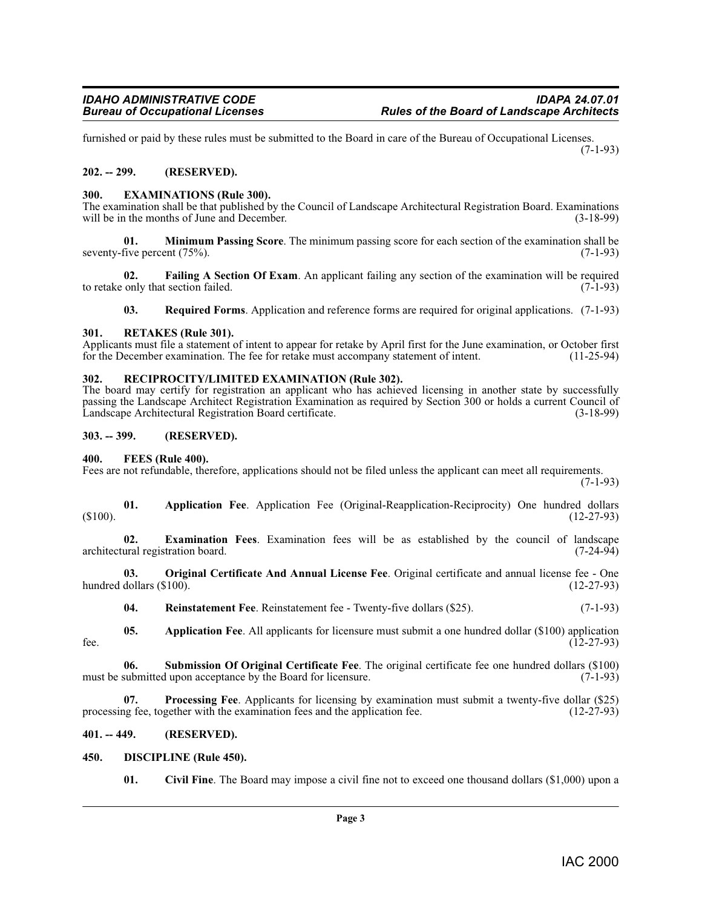furnished or paid by these rules must be submitted to the Board in care of the Bureau of Occupational Licenses. (7-1-93)

#### <span id="page-2-0"></span>**202. -- 299. (RESERVED).**

#### <span id="page-2-13"></span><span id="page-2-1"></span>**300. EXAMINATIONS (Rule 300).**

The examination shall be that published by the Council of Landscape Architectural Registration Board. Examinations will be in the months of June and December. will be in the months of June and December.

<span id="page-2-16"></span>**01. Minimum Passing Score**. The minimum passing score for each section of the examination shall be seventy-five percent  $(75%)$ .

**02. Failing A Section Of Exam**. An applicant failing any section of the examination will be required only that section failed. (7-1-93) to retake only that section failed.

<span id="page-2-22"></span><span id="page-2-21"></span><span id="page-2-14"></span>**03. Required Forms**. Application and reference forms are required for original applications. (7-1-93)

#### <span id="page-2-2"></span>**301. RETAKES (Rule 301).**

Applicants must file a statement of intent to appear for retake by April first for the June examination, or October first for the December examination. The fee for retake must accompany statement of intent. (11-25-94) for the December examination. The fee for retake must accompany statement of intent.

#### <span id="page-2-19"></span><span id="page-2-3"></span>**302. RECIPROCITY/LIMITED EXAMINATION (Rule 302).**

The board may certify for registration an applicant who has achieved licensing in another state by successfully passing the Landscape Architect Registration Examination as required by Section 300 or holds a current Council of Landscape Architectural Registration Board certificate. (3-18-99)

#### <span id="page-2-4"></span>**303. -- 399. (RESERVED).**

#### <span id="page-2-15"></span><span id="page-2-5"></span>**400. FEES (Rule 400).**

Fees are not refundable, therefore, applications should not be filed unless the applicant can meet all requirements.

(7-1-93)

<span id="page-2-9"></span>**01. Application Fee**. Application Fee (Original-Reapplication-Reciprocity) One hundred dollars  $(12-27-93)$ 

<span id="page-2-12"></span>**02. Examination Fees**. Examination fees will be as established by the council of landscape architectural registration board.

**03. Original Certificate And Annual License Fee**. Original certificate and annual license fee - One hundred dollars  $(\$100)$ .

<span id="page-2-23"></span><span id="page-2-20"></span><span id="page-2-17"></span><span id="page-2-8"></span>**04.** Reinstatement Fee. Reinstatement fee - Twenty-five dollars (\$25). (7-1-93)

**05. Application Fee**. All applicants for licensure must submit a one hundred dollar (\$100) application (12-27-93) fee.  $(12-27-93)$ 

**06. Submission Of Original Certificate Fee**. The original certificate fee one hundred dollars (\$100) must be submitted upon acceptance by the Board for licensure. (7-1-93)

<span id="page-2-18"></span>**Processing Fee**. Applicants for licensing by examination must submit a twenty-five dollar (\$25) gether with the examination fees and the application fee. (12-27-93) processing fee, together with the examination fees and the application fee.

#### <span id="page-2-6"></span>**401. -- 449. (RESERVED).**

#### <span id="page-2-7"></span>**450. DISCIPLINE (Rule 450).**

<span id="page-2-11"></span><span id="page-2-10"></span>**01. Civil Fine**. The Board may impose a civil fine not to exceed one thousand dollars (\$1,000) upon a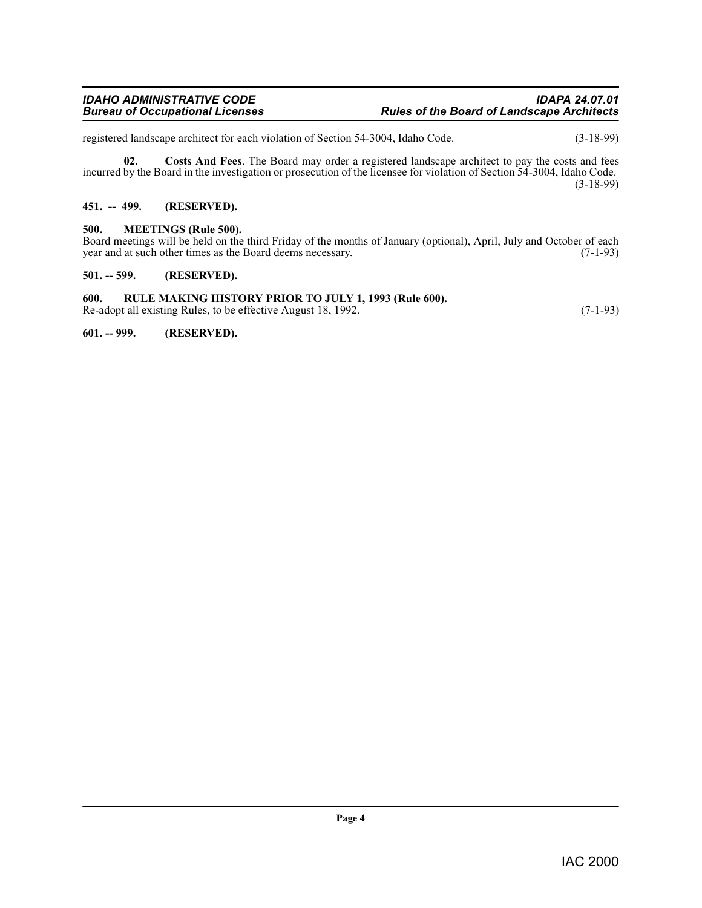registered landscape architect for each violation of Section 54-3004, Idaho Code. (3-18-99)

<span id="page-3-5"></span>**02. Costs And Fees**. The Board may order a registered landscape architect to pay the costs and fees incurred by the Board in the investigation or prosecution of the licensee for violation of Section 54-3004, Idaho Code. (3-18-99)

#### <span id="page-3-0"></span>**451. -- 499. (RESERVED).**

#### <span id="page-3-6"></span><span id="page-3-1"></span>**500. MEETINGS (Rule 500).**

Board meetings will be held on the third Friday of the months of January (optional), April, July and October of each year and at such other times as the Board deems necessary. (7-1-93) year and at such other times as the Board deems necessary.

#### <span id="page-3-2"></span>**501. -- 599. (RESERVED).**

#### <span id="page-3-7"></span><span id="page-3-3"></span>**600. RULE MAKING HISTORY PRIOR TO JULY 1, 1993 (Rule 600).**

Re-adopt all existing Rules, to be effective August 18, 1992. (7-1-93)

<span id="page-3-4"></span>**601. -- 999. (RESERVED).**